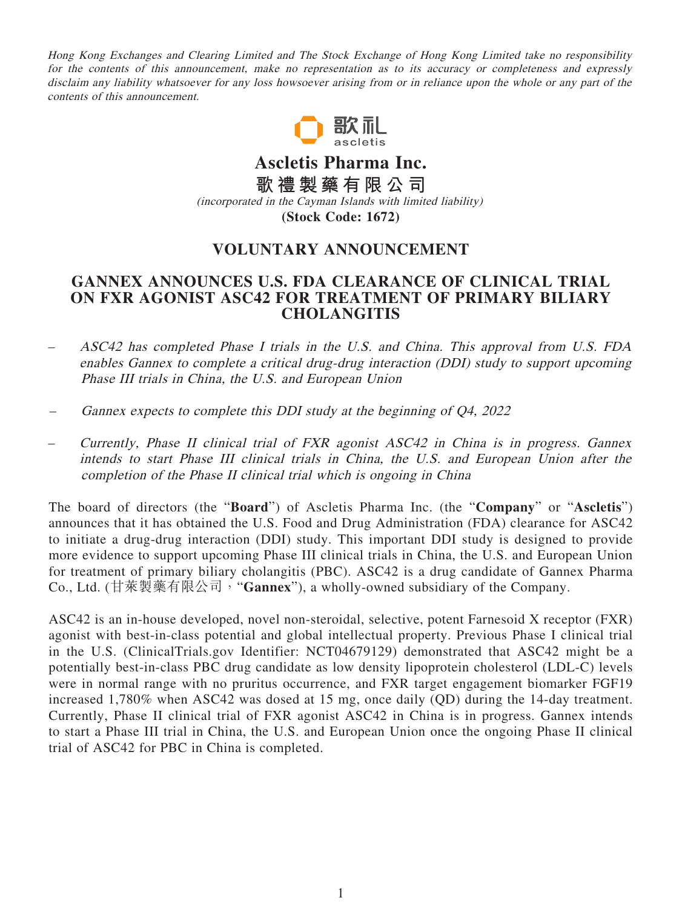Hong Kong Exchanges and Clearing Limited and The Stock Exchange of Hong Kong Limited take no responsibility for the contents of this announcement, make no representation as to its accuracy or completeness and expressly disclaim any liability whatsoever for any loss howsoever arising from or in reliance upon the whole or any part of the contents of this announcement.



**Ascletis Pharma Inc. 歌禮製藥有限公司** (incorporated in the Cayman Islands with limited liability) **(Stock Code: 1672)**

## **VOLUNTARY ANNOUNCEMENT**

## **GANNEX ANNOUNCES U.S. FDA CLEARANCE OF CLINICAL TRIAL ON FXR AGONIST ASC42 FOR TREATMENT OF PRIMARY BILIARY CHOLANGITIS**

- ASC42 has completed Phase I trials in the U.S. and China. This approval from U.S. FDA enables Gannex to complete a critical drug-drug interaction (DDI) study to support upcoming Phase III trials in China, the U.S. and European Union
- Gannex expects to complete this DDI study at the beginning of Q4, 2022
- Currently, Phase II clinical trial of FXR agonist ASC42 in China is in progress. Gannex intends to start Phase III clinical trials in China, the U.S. and European Union after the completion of the Phase II clinical trial which is ongoing in China

The board of directors (the "**Board**") of Ascletis Pharma Inc. (the "**Company**" or "**Ascletis**") announces that it has obtained the U.S. Food and Drug Administration (FDA) clearance for ASC42 to initiate a drug-drug interaction (DDI) study. This important DDI study is designed to provide more evidence to support upcoming Phase III clinical trials in China, the U.S. and European Union for treatment of primary biliary cholangitis (PBC). ASC42 is a drug candidate of Gannex Pharma Co., Ltd. (甘萊製藥有限公司,"**Gannex**"), a wholly-owned subsidiary of the Company.

ASC42 is an in-house developed, novel non-steroidal, selective, potent Farnesoid X receptor (FXR) agonist with best-in-class potential and global intellectual property. Previous Phase I clinical trial in the U.S. (ClinicalTrials.gov Identifier: NCT04679129) demonstrated that ASC42 might be a potentially best-in-class PBC drug candidate as low density lipoprotein cholesterol (LDL-C) levels were in normal range with no pruritus occurrence, and FXR target engagement biomarker FGF19 increased 1,780% when ASC42 was dosed at 15 mg, once daily (QD) during the 14-day treatment. Currently, Phase II clinical trial of FXR agonist ASC42 in China is in progress. Gannex intends to start a Phase III trial in China, the U.S. and European Union once the ongoing Phase II clinical trial of ASC42 for PBC in China is completed.